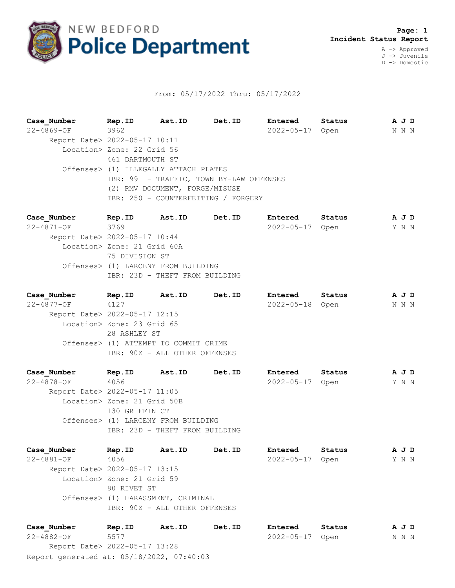

## From: 05/17/2022 Thru: 05/17/2022

**Case\_Number Rep.ID Ast.ID Det.ID Entered Status A J D** 22-4869-OF 3962 2022-05-17 Open N N N Report Date> 2022-05-17 10:11 Location> Zone: 22 Grid 56 461 DARTMOUTH ST Offenses> (1) ILLEGALLY ATTACH PLATES IBR: 99 - TRAFFIC, TOWN BY-LAW OFFENSES (2) RMV DOCUMENT, FORGE/MISUSE IBR: 250 - COUNTERFEITING / FORGERY

**Case\_Number Rep.ID Ast.ID Det.ID Entered Status A J D** 22-4871-OF 3769 2022-05-17 Open Y N N Report Date> 2022-05-17 10:44 Location> Zone: 21 Grid 60A 75 DIVISION ST Offenses> (1) LARCENY FROM BUILDING IBR: 23D - THEFT FROM BUILDING

| Case Number                   | Rep.ID                                | Ast.ID | Det.ID | Entered          | Status | A J D |  |  |
|-------------------------------|---------------------------------------|--------|--------|------------------|--------|-------|--|--|
| $22 - 4877 - OF$              | 4127                                  |        |        | $2022 - 05 - 18$ | Open   | N N N |  |  |
| Report Date> 2022-05-17 12:15 |                                       |        |        |                  |        |       |  |  |
|                               | Location> Zone: 23 Grid 65            |        |        |                  |        |       |  |  |
|                               | 28 ASHLEY ST                          |        |        |                  |        |       |  |  |
|                               | Offenses> (1) ATTEMPT TO COMMIT CRIME |        |        |                  |        |       |  |  |
|                               | IBR: 90Z - ALL OTHER OFFENSES         |        |        |                  |        |       |  |  |
|                               |                                       |        |        |                  |        |       |  |  |

**Case\_Number Rep.ID Ast.ID Det.ID Entered Status A J D** 22-4878-OF 4056 2022-05-17 Open Y N N Report Date> 2022-05-17 11:05 Location> Zone: 21 Grid 50B 130 GRIFFIN CT Offenses> (1) LARCENY FROM BUILDING IBR: 23D - THEFT FROM BUILDING

**Case\_Number Rep.ID Ast.ID Det.ID Entered Status A J D** 22-4881-OF 4056 2022-05-17 Open Y N N Report Date> 2022-05-17 13:15 Location> Zone: 21 Grid 59 80 RIVET ST Offenses> (1) HARASSMENT, CRIMINAL IBR: 90Z - ALL OTHER OFFENSES

Report generated at: 05/18/2022, 07:40:03 **Case\_Number Rep.ID Ast.ID Det.ID Entered Status A J D** 22-4882-OF 5577 2022-05-17 Open N N N Report Date> 2022-05-17 13:28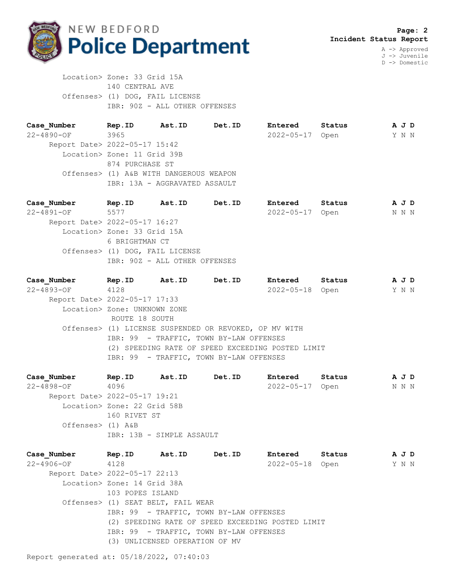

J -> Juvenile D -> Domestic

 Location> Zone: 33 Grid 15A 140 CENTRAL AVE Offenses> (1) DOG, FAIL LICENSE IBR: 90Z - ALL OTHER OFFENSES

**Case\_Number Rep.ID Ast.ID Det.ID Entered Status A J D** 22-4890-OF 3965 2022-05-17 Open Y N N Report Date> 2022-05-17 15:42 Location> Zone: 11 Grid 39B 874 PURCHASE ST Offenses> (1) A&B WITH DANGEROUS WEAPON IBR: 13A - AGGRAVATED ASSAULT

**Case\_Number Rep.ID Ast.ID Det.ID Entered Status A J D** 22-4891-OF 5577 2022-05-17 Open N N N Report Date> 2022-05-17 16:27 Location> Zone: 33 Grid 15A 6 BRIGHTMAN CT Offenses> (1) DOG, FAIL LICENSE IBR: 90Z - ALL OTHER OFFENSES

**Case\_Number Rep.ID Ast.ID Det.ID Entered Status A J D** 22-4893-OF 4128 2022-05-18 Open Y N N Report Date> 2022-05-17 17:33 Location> Zone: UNKNOWN ZONE ROUTE 18 SOUTH Offenses> (1) LICENSE SUSPENDED OR REVOKED, OP MV WITH IBR: 99 - TRAFFIC, TOWN BY-LAW OFFENSES (2) SPEEDING RATE OF SPEED EXCEEDING POSTED LIMIT IBR: 99 - TRAFFIC, TOWN BY-LAW OFFENSES

**Case\_Number Rep.ID Ast.ID Det.ID Entered Status A J D** 22-4898-OF 4096 2022-05-17 Open N N N Report Date> 2022-05-17 19:21 Location> Zone: 22 Grid 58B 160 RIVET ST Offenses> (1) A&B IBR: 13B - SIMPLE ASSAULT

**Case\_Number Rep.ID Ast.ID Det.ID Entered Status A J D** 22-4906-OF 4128 2022-05-18 Open Y N N Report Date> 2022-05-17 22:13 Location> Zone: 14 Grid 38A 103 POPES ISLAND Offenses> (1) SEAT BELT, FAIL WEAR IBR: 99 - TRAFFIC, TOWN BY-LAW OFFENSES (2) SPEEDING RATE OF SPEED EXCEEDING POSTED LIMIT IBR: 99 - TRAFFIC, TOWN BY-LAW OFFENSES (3) UNLICENSED OPERATION OF MV